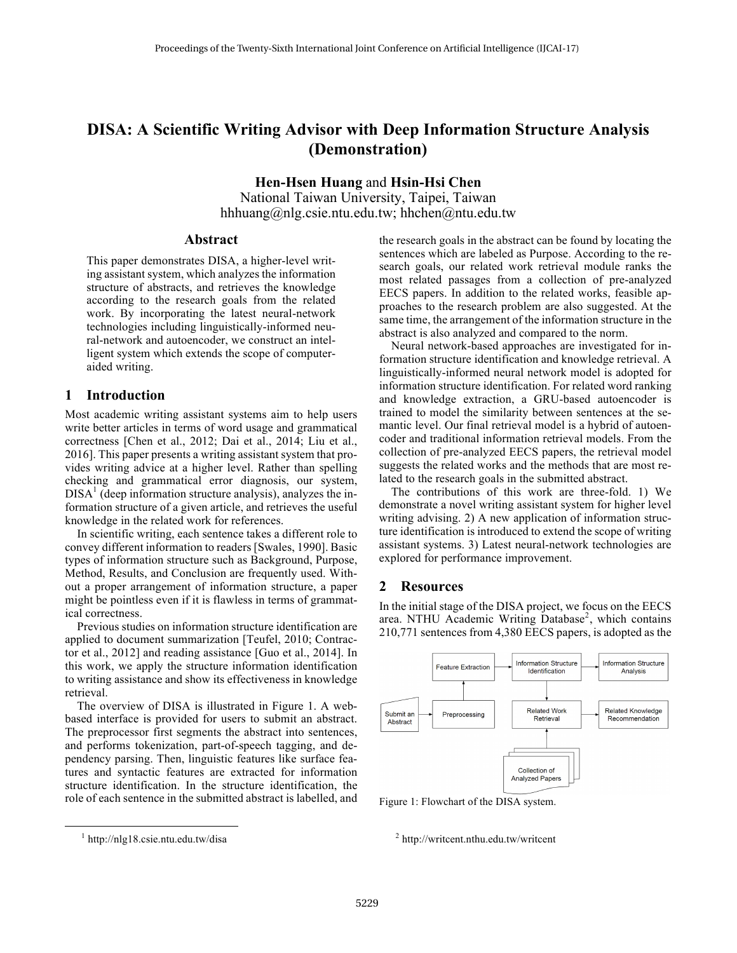# **DISA: A Scientific Writing Advisor with Deep Information Structure Analysis (Demonstration)**

**Hen-Hsen Huang** and **Hsin-Hsi Chen**

National Taiwan University, Taipei, Taiwan hhhuang@nlg.csie.ntu.edu.tw; hhchen@ntu.edu.tw

### **Abstract**

This paper demonstrates DISA, a higher-level writing assistant system, which analyzes the information structure of abstracts, and retrieves the knowledge according to the research goals from the related work. By incorporating the latest neural-network technologies including linguistically-informed neural-network and autoencoder, we construct an intelligent system which extends the scope of computeraided writing.

#### **1 Introduction**

Most academic writing assistant systems aim to help users write better articles in terms of word usage and grammatical correctness [Chen et al., 2012; Dai et al., 2014; Liu et al., 2016]. This paper presents a writing assistant system that provides writing advice at a higher level. Rather than spelling checking and grammatical error diagnosis, our system,  $DISA<sup>1</sup>$  (deep information structure analysis), analyzes the information structure of a given article, and retrieves the useful knowledge in the related work for references.

In scientific writing, each sentence takes a different role to convey different information to readers [Swales, 1990]. Basic types of information structure such as Background, Purpose, Method, Results, and Conclusion are frequently used. Without a proper arrangement of information structure, a paper might be pointless even if it is flawless in terms of grammatical correctness.

Previous studies on information structure identification are applied to document summarization [Teufel, 2010; Contractor et al., 2012] and reading assistance [Guo et al., 2014]. In this work, we apply the structure information identification to writing assistance and show its effectiveness in knowledge retrieval.

The overview of DISA is illustrated in Figure 1. A webbased interface is provided for users to submit an abstract. The preprocessor first segments the abstract into sentences, and performs tokenization, part-of-speech tagging, and dependency parsing. Then, linguistic features like surface features and syntactic features are extracted for information structure identification. In the structure identification, the role of each sentence in the submitted abstract is labelled, and the research goals in the abstract can be found by locating the sentences which are labeled as Purpose. According to the research goals, our related work retrieval module ranks the most related passages from a collection of pre-analyzed EECS papers. In addition to the related works, feasible approaches to the research problem are also suggested. At the same time, the arrangement of the information structure in the abstract is also analyzed and compared to the norm.

Neural network-based approaches are investigated for information structure identification and knowledge retrieval. A linguistically-informed neural network model is adopted for information structure identification. For related word ranking and knowledge extraction, a GRU-based autoencoder is trained to model the similarity between sentences at the semantic level. Our final retrieval model is a hybrid of autoencoder and traditional information retrieval models. From the collection of pre-analyzed EECS papers, the retrieval model suggests the related works and the methods that are most related to the research goals in the submitted abstract.

The contributions of this work are three-fold. 1) We demonstrate a novel writing assistant system for higher level writing advising. 2) A new application of information structure identification is introduced to extend the scope of writing assistant systems. 3) Latest neural-network technologies are explored for performance improvement.

#### **2 Resources**

In the initial stage of the DISA project, we focus on the EECS area. NTHU Academic Writing Database<sup>2</sup>, which contains 210,771 sentences from 4,380 EECS papers, is adopted as the



Figure 1: Flowchart of the DISA system.

 $2$  http://writcent.nthu.edu.tw/writcent

 $1$  http://nlg18.csie.ntu.edu.tw/disa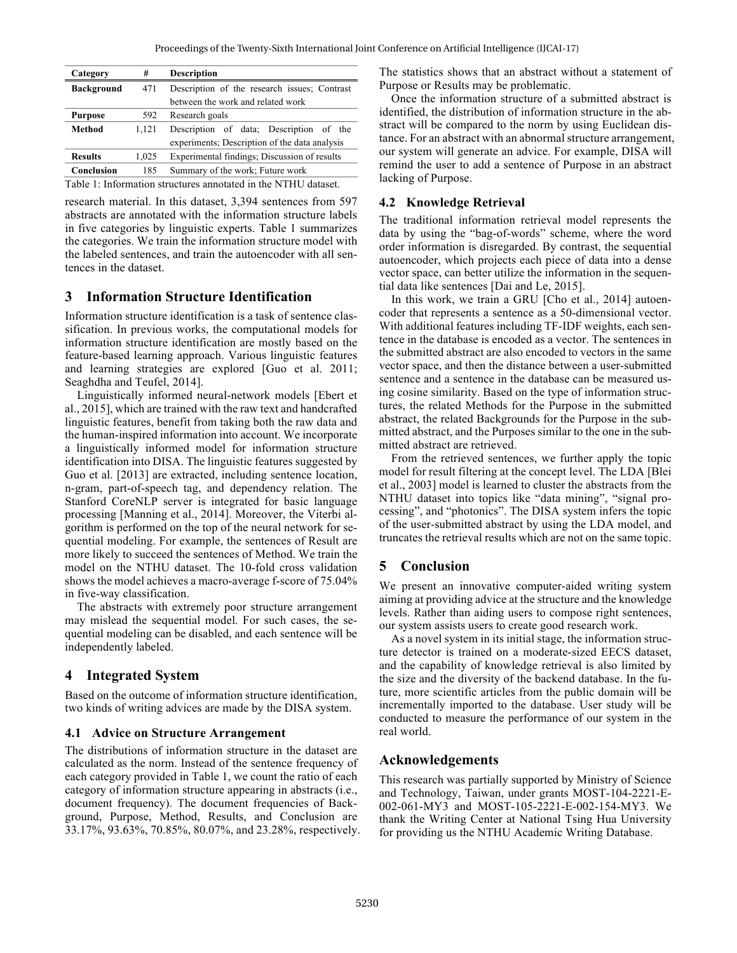Proceedings of the Twenty-Sixth International Joint Conference on Artificial Intelligence (IJCAI-17)

| Category          | #     | <b>Description</b>                            |
|-------------------|-------|-----------------------------------------------|
| <b>Background</b> | 471   | Description of the research issues; Contrast  |
|                   |       | between the work and related work             |
| <b>Purpose</b>    | 592   | Research goals                                |
| Method            | 1.121 | Description of data; Description of the       |
|                   |       | experiments; Description of the data analysis |
| <b>Results</b>    | 1,025 | Experimental findings; Discussion of results  |
| Conclusion        | 185   | Summary of the work; Future work              |
| ------            |       |                                               |

Table 1: Information structures annotated in the NTHU dataset.

research material. In this dataset, 3,394 sentences from 597 abstracts are annotated with the information structure labels in five categories by linguistic experts. Table 1 summarizes the categories. We train the information structure model with the labeled sentences, and train the autoencoder with all sentences in the dataset.

## **3 Information Structure Identification**

Information structure identification is a task of sentence classification. In previous works, the computational models for information structure identification are mostly based on the feature-based learning approach. Various linguistic features and learning strategies are explored [Guo et al. 2011; Seaghdha and Teufel, 2014].

Linguistically informed neural-network models [Ebert et al., 2015], which are trained with the raw text and handcrafted linguistic features, benefit from taking both the raw data and the human-inspired information into account. We incorporate a linguistically informed model for information structure identification into DISA. The linguistic features suggested by Guo et al. [2013] are extracted, including sentence location, n-gram, part-of-speech tag, and dependency relation. The Stanford CoreNLP server is integrated for basic language processing [Manning et al., 2014]. Moreover, the Viterbi algorithm is performed on the top of the neural network for sequential modeling. For example, the sentences of Result are more likely to succeed the sentences of Method. We train the model on the NTHU dataset. The 10-fold cross validation shows the model achieves a macro-average f-score of 75.04% in five-way classification.

The abstracts with extremely poor structure arrangement may mislead the sequential model. For such cases, the sequential modeling can be disabled, and each sentence will be independently labeled.

## **4 Integrated System**

Based on the outcome of information structure identification, two kinds of writing advices are made by the DISA system.

#### **4.1 Advice on Structure Arrangement**

The distributions of information structure in the dataset are calculated as the norm. Instead of the sentence frequency of each category provided in Table 1, we count the ratio of each category of information structure appearing in abstracts (i.e., document frequency). The document frequencies of Background, Purpose, Method, Results, and Conclusion are 33.17%, 93.63%, 70.85%, 80.07%, and 23.28%, respectively. The statistics shows that an abstract without a statement of Purpose or Results may be problematic.

Once the information structure of a submitted abstract is identified, the distribution of information structure in the abstract will be compared to the norm by using Euclidean distance. For an abstract with an abnormal structure arrangement, our system will generate an advice. For example, DISA will remind the user to add a sentence of Purpose in an abstract lacking of Purpose.

#### **4.2 Knowledge Retrieval**

The traditional information retrieval model represents the data by using the "bag-of-words" scheme, where the word order information is disregarded. By contrast, the sequential autoencoder, which projects each piece of data into a dense vector space, can better utilize the information in the sequential data like sentences [Dai and Le, 2015].

In this work, we train a GRU [Cho et al., 2014] autoencoder that represents a sentence as a 50-dimensional vector. With additional features including TF-IDF weights, each sentence in the database is encoded as a vector. The sentences in the submitted abstract are also encoded to vectors in the same vector space, and then the distance between a user-submitted sentence and a sentence in the database can be measured using cosine similarity. Based on the type of information structures, the related Methods for the Purpose in the submitted abstract, the related Backgrounds for the Purpose in the submitted abstract, and the Purposes similar to the one in the submitted abstract are retrieved.

From the retrieved sentences, we further apply the topic model for result filtering at the concept level. The LDA [Blei et al., 2003] model is learned to cluster the abstracts from the NTHU dataset into topics like "data mining", "signal processing", and "photonics". The DISA system infers the topic of the user-submitted abstract by using the LDA model, and truncates the retrieval results which are not on the same topic.

# **5 Conclusion**

We present an innovative computer-aided writing system aiming at providing advice at the structure and the knowledge levels. Rather than aiding users to compose right sentences, our system assists users to create good research work.

As a novel system in its initial stage, the information structure detector is trained on a moderate-sized EECS dataset, and the capability of knowledge retrieval is also limited by the size and the diversity of the backend database. In the future, more scientific articles from the public domain will be incrementally imported to the database. User study will be conducted to measure the performance of our system in the real world.

## **Acknowledgements**

This research was partially supported by Ministry of Science and Technology, Taiwan, under grants MOST-104-2221-E-002-061-MY3 and MOST-105-2221-E-002-154-MY3. We thank the Writing Center at National Tsing Hua University for providing us the NTHU Academic Writing Database.